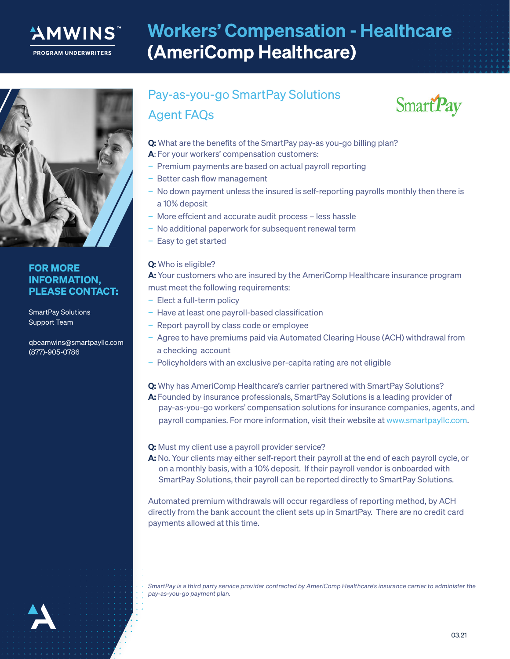

# Workers' Compensation - Healthcare (AmeriComp Healthcare)



### FOR MORE INFORMATION, PLEASE CONTACT:

SmartPay Solutions Support Team

qbeamwins@smartpayllc.com (877)-905-0786

## Pay-as-you-go SmartPay Solutions Agent FAQs



- Q: What are the benefits of the SmartPay pay-as you-go billing plan?
- A: For your workers' compensation customers:
- − Premium payments are based on actual payroll reporting
- Better cash flow management
- − No down payment unless the insured is self-reporting payrolls monthly then there is a 10% deposit
- − More effcient and accurate audit process less hassle
- − No additional paperwork for subsequent renewal term
- − Easy to get started

### Q: Who is eligible?

A: Your customers who are insured by the AmeriComp Healthcare insurance program must meet the following requirements:

- − Elect a full-term policy
- − Have at least one payroll-based classification
- − Report payroll by class code or employee
- − Agree to have premiums paid via Automated Clearing House (ACH) withdrawal from a checking account
- − Policyholders with an exclusive per-capita rating are not eligible
- Q: Why has AmeriComp Healthcare's carrier partnered with SmartPay Solutions?
- A: Founded by insurance professionals, SmartPay Solutions is a leading provider of pay-as-you-go workers' compensation solutions for insurance companies, agents, and payroll companies. For more information, visit their website at www.smartpayllc.com.

#### Q: Must my client use a payroll provider service?

A: No. Your clients may either self-report their payroll at the end of each payroll cycle, or on a monthly basis, with a 10% deposit. If their payroll vendor is onboarded with SmartPay Solutions, their payroll can be reported directly to SmartPay Solutions.

Automated premium withdrawals will occur regardless of reporting method, by ACH directly from the bank account the client sets up in SmartPay. There are no credit card payments allowed at this time.

*SmartPay is a third party service provider contracted by AmeriComp Healthcare's insurance carrier to administer the pay-as-you-go payment plan.*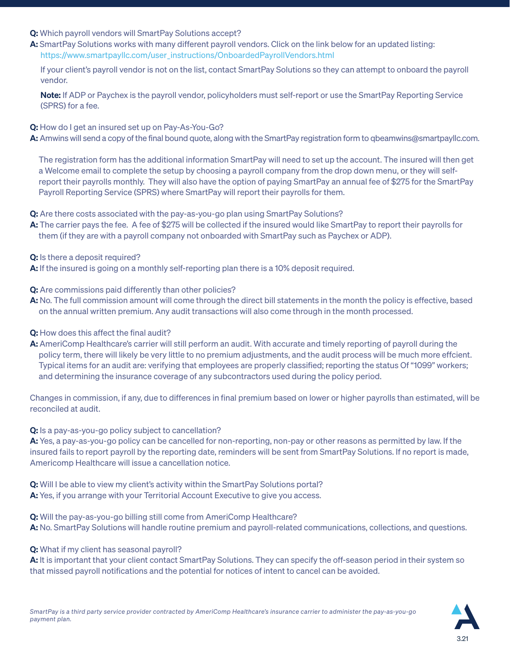- Q: Which payroll vendors will SmartPay Solutions accept?
- A: SmartPay Solutions works with many different payroll vendors. Click on the link below for an updated listing: https://www.smartpayllc.com/user\_instructions/OnboardedPayrollVendors.html

 If your client's payroll vendor is not on the list, contact SmartPay Solutions so they can attempt to onboard the payroll vendor.

Note: If ADP or Paychex is the payroll vendor, policyholders must self-report or use the SmartPay Reporting Service (SPRS) for a fee.

Q: How do I get an insured set up on Pay-As-You-Go?

A: Amwins will send a copy of the final bound quote, along with the SmartPay registration form to gbeamwins@smartpayllc.com.

 The registration form has the additional information SmartPay will need to set up the account. The insured will then get a Welcome email to complete the setup by choosing a payroll company from the drop down menu, or they will self report their payrolls monthly. They will also have the option of paying SmartPay an annual fee of \$275 for the SmartPay Payroll Reporting Service (SPRS) where SmartPay will report their payrolls for them.

Q: Are there costs associated with the pay-as-you-go plan using SmartPay Solutions?

A: The carrier pays the fee. A fee of \$275 will be collected if the insured would like SmartPay to report their payrolls for them (if they are with a payroll company not onboarded with SmartPay such as Paychex or ADP).

Q: Is there a deposit required?

A: If the insured is going on a monthly self-reporting plan there is a 10% deposit required.

**Q:** Are commissions paid differently than other policies?

A: No. The full commission amount will come through the direct bill statements in the month the policy is effective, based on the annual written premium. Any audit transactions will also come through in the month processed.

- Q: How does this affect the final audit?
- A: AmeriComp Healthcare's carrier will still perform an audit. With accurate and timely reporting of payroll during the policy term, there will likely be very little to no premium adjustments, and the audit process will be much more effcient. Typical items for an audit are: verifying that employees are properly classified; reporting the status Of "1099" workers; and determining the insurance coverage of any subcontractors used during the policy period.

Changes in commission, if any, due to differences in final premium based on lower or higher payrolls than estimated, will be reconciled at audit.

Q: Is a pay-as-you-go policy subject to cancellation?

A: Yes, a pay-as-you-go policy can be cancelled for non-reporting, non-pay or other reasons as permitted by law. If the insured fails to report payroll by the reporting date, reminders will be sent from SmartPay Solutions. If no report is made, Americomp Healthcare will issue a cancellation notice.

Q: Will I be able to view my client's activity within the SmartPay Solutions portal? A: Yes, if you arrange with your Territorial Account Executive to give you access.

Q: Will the pay-as-you-go billing still come from AmeriComp Healthcare? A: No. SmartPay Solutions will handle routine premium and payroll-related communications, collections, and questions.

Q: What if my client has seasonal payroll?

A: It is important that your client contact SmartPay Solutions. They can specify the off-season period in their system so that missed payroll notifications and the potential for notices of intent to cancel can be avoided.